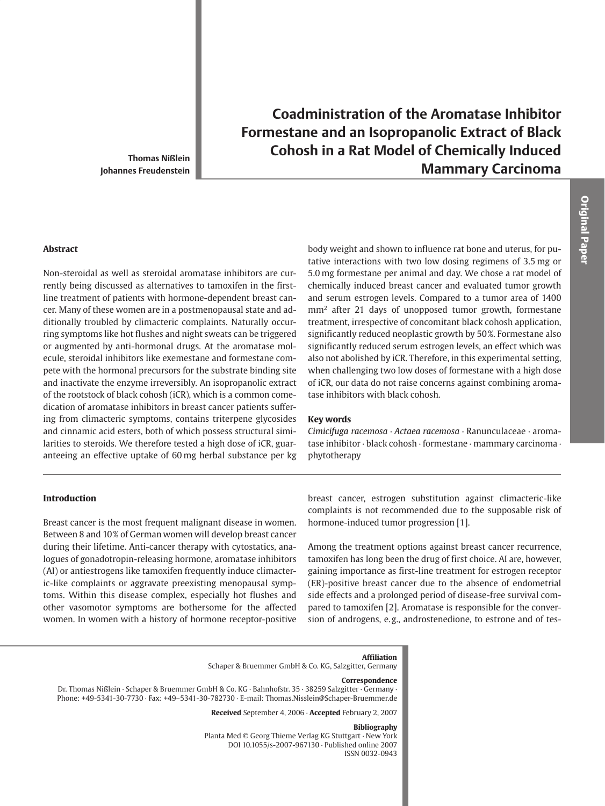**Thomas Nißlein** Johannes Freudenstein

# **Coadministration of the Aromatase Inhibitor** Formestane and an Isopropanolic Extract of Black **Cohosh in a Rat Model of Chemically Induced Mammary Carcinoma**

#### **Abstract**

Non-steroidal as well as steroidal aromatase inhibitors are currently being discussed as alternatives to tamoxifen in the firstline treatment of patients with hormone-dependent breast cancer. Many of these women are in a postmenopausal state and additionally troubled by climacteric complaints. Naturally occurring symptoms like hot flushes and night sweats can be triggered or augmented by anti-hormonal drugs. At the aromatase molecule, steroidal inhibitors like exemestane and formestane compete with the hormonal precursors for the substrate binding site and inactivate the enzyme irreversibly. An isopropanolic extract of the rootstock of black cohosh (iCR), which is a common comedication of aromatase inhibitors in breast cancer patients suffering from climacteric symptoms, contains triterpene glycosides and cinnamic acid esters, both of which possess structural similarities to steroids. We therefore tested a high dose of iCR, guaranteeing an effective uptake of 60 mg herbal substance per kg

body weight and shown to influence rat bone and uterus, for putative interactions with two low dosing regimens of 3.5 mg or 5.0 mg formestane per animal and day. We chose a rat model of chemically induced breast cancer and evaluated tumor growth and serum estrogen levels. Compared to a tumor area of 1400 mm<sup>2</sup> after 21 days of unopposed tumor growth, formestane treatment, irrespective of concomitant black cohosh application, significantly reduced neoplastic growth by 50%. Formestane also significantly reduced serum estrogen levels, an effect which was also not abolished by iCR. Therefore, in this experimental setting, when challenging two low doses of formestane with a high dose of iCR, our data do not raise concerns against combining aromatase inhibitors with black cohosh.

## **Kev words**

Cimicifuga racemosa · Actaea racemosa · Ranunculaceae · aromatase inhibitor · black cohosh · formestane · mammary carcinoma · phytotherapy

# **Introduction**

Breast cancer is the most frequent malignant disease in women. Between 8 and 10% of German women will develop breast cancer during their lifetime. Anti-cancer therapy with cytostatics, analogues of gonadotropin-releasing hormone, aromatase inhibitors (AI) or antiestrogens like tamoxifen frequently induce climacteric-like complaints or aggravate preexisting menopausal symptoms. Within this disease complex, especially hot flushes and other vasomotor symptoms are bothersome for the affected women. In women with a history of hormone receptor-positive

breast cancer, estrogen substitution against climacteric-like complaints is not recommended due to the supposable risk of hormone-induced tumor progression [1].

Among the treatment options against breast cancer recurrence, tamoxifen has long been the drug of first choice. AI are, however, gaining importance as first-line treatment for estrogen receptor (ER)-positive breast cancer due to the absence of endometrial side effects and a prolonged period of disease-free survival compared to tamoxifen [2]. Aromatase is responsible for the conversion of androgens, e.g., androstenedione, to estrone and of tes-

#### **Affiliation**

Schaper & Bruemmer GmbH & Co. KG, Salzgitter, Germany

#### Correspondence

Dr. Thomas Nißlein · Schaper & Bruemmer GmbH & Co. KG · Bahnhofstr. 35 · 38259 Salzgitter · Germany · Phone: +49-5341-30-7730 · Fax: +49-5341-30-782730 · E-mail: Thomas.Nisslein@Schaper-Bruemmer.de

Received September 4, 2006 · Accepted February 2, 2007

#### **Bibliography**

Planta Med © Georg Thieme Verlag KG Stuttgart · New York DOI 10.1055/s-2007-967130 · Published online 2007 ISSN 0032-0943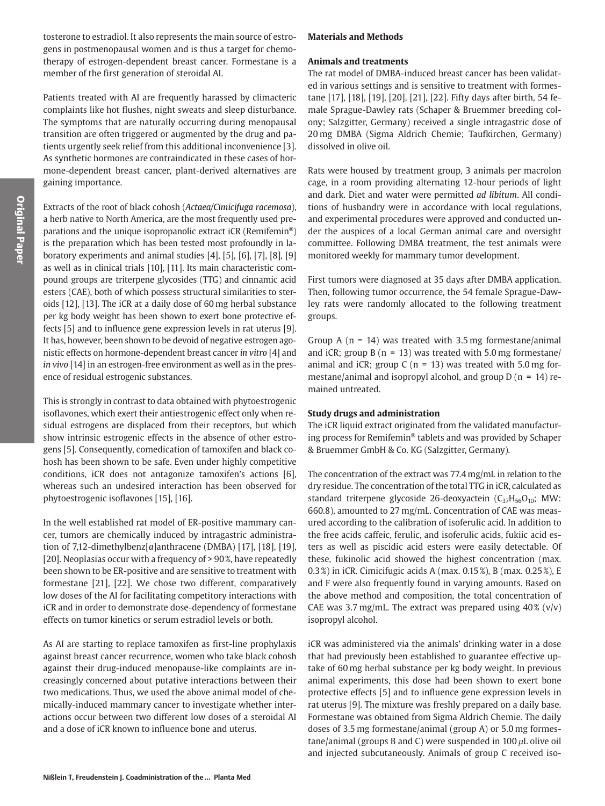tosterone to estradiol. It also represents the main source of estrogens in postmenopausal women and is thus a target for chemotherapy of estrogen-dependent breast cancer. Formestane is a member of the first generation of steroidal AI.

Patients treated with AI are frequently harassed by climacteric complaints like hot flushes, night sweats and sleep disturbance. The symptoms that are naturally occurring during menopausal transition are often triggered or augmented by the drug and patients urgently seek relief from this additional inconvenience [3]. As synthetic hormones are contraindicated in these cases of hormone-dependent breast cancer, plant-derived alternatives are gaining importance.

Extracts of the root of black cohosh (Actaea/Cimicifuga racemosa), a herb native to North America, are the most frequently used preparations and the unique isopropanolic extract iCR (Remifemin®) is the preparation which has been tested most profoundly in laboratory experiments and animal studies [4], [5], [6], [7], [8], [9] as well as in clinical trials [10], [11]. Its main characteristic compound groups are triterpene glycosides (TTG) and cinnamic acid esters (CAE), both of which possess structural similarities to steroids [12], [13]. The iCR at a daily dose of 60 mg herbal substance per kg body weight has been shown to exert bone protective effects [5] and to influence gene expression levels in rat uterus [9]. It has, however, been shown to be devoid of negative estrogen agonistic effects on hormone-dependent breast cancer in vitro [4] and in vivo [14] in an estrogen-free environment as well as in the presence of residual estrogenic substances.

This is strongly in contrast to data obtained with phytoestrogenic isoflavones, which exert their antiestrogenic effect only when residual estrogens are displaced from their receptors, but which show intrinsic estrogenic effects in the absence of other estrogens [5]. Consequently, comedication of tamoxifen and black cohosh has been shown to be safe. Even under highly competitive conditions, iCR does not antagonize tamoxifen's actions [6], whereas such an undesired interaction has been observed for phytoestrogenic isoflavones [15], [16].

In the well established rat model of ER-positive mammary cancer, tumors are chemically induced by intragastric administration of 7,12-dimethylbenz[ $a$ ]anthracene (DMBA) [17], [18], [19], [20]. Neoplasias occur with a frequency of > 90%, have repeatedly been shown to be ER-positive and are sensitive to treatment with formestane [21], [22]. We chose two different, comparatively low doses of the AI for facilitating competitory interactions with iCR and in order to demonstrate dose-dependency of formestane effects on tumor kinetics or serum estradiol levels or both.

As AI are starting to replace tamoxifen as first-line prophylaxis against breast cancer recurrence, women who take black cohosh against their drug-induced menopause-like complaints are increasingly concerned about putative interactions between their two medications. Thus, we used the above animal model of chemically-induced mammary cancer to investigate whether interactions occur between two different low doses of a steroidal AI and a dose of iCR known to influence bone and uterus.

## **Materials and Methods**

## **Animals and treatments**

The rat model of DMBA-induced breast cancer has been validated in various settings and is sensitive to treatment with formestane [17], [18], [19], [20], [21], [22]. Fifty days after birth, 54 female Sprague-Dawley rats (Schaper & Bruemmer breeding colony; Salzgitter, Germany) received a single intragastric dose of 20 mg DMBA (Sigma Aldrich Chemie; Taufkirchen, Germany) dissolved in olive oil.

Rats were housed by treatment group, 3 animals per macrolon cage, in a room providing alternating 12-hour periods of light and dark. Diet and water were permitted ad libitum. All conditions of husbandry were in accordance with local regulations, and experimental procedures were approved and conducted under the auspices of a local German animal care and oversight committee. Following DMBA treatment, the test animals were monitored weekly for mammary tumor development.

First tumors were diagnosed at 35 days after DMBA application. Then, following tumor occurrence, the 54 female Sprague-Dawley rats were randomly allocated to the following treatment groups.

Group A ( $n = 14$ ) was treated with 3.5 mg formestane/animal and iCR; group B ( $n = 13$ ) was treated with 5.0 mg formestane/ animal and iCR; group C ( $n = 13$ ) was treated with 5.0 mg formestane/animal and isopropyl alcohol, and group  $D(n = 14)$  remained untreated.

# **Study drugs and administration**

The iCR liquid extract originated from the validated manufacturing process for Remifemin® tablets and was provided by Schaper & Bruemmer GmbH & Co. KG (Salzgitter, Germany).

The concentration of the extract was 77.4 mg/mL in relation to the dry residue. The concentration of the total TTG in iCR, calculated as standard triterpene glycoside 26-deoxyactein  $(C_{37}H_{56}O_{10})$ ; MW: 660.8), amounted to 27 mg/mL. Concentration of CAE was measured according to the calibration of isoferulic acid. In addition to the free acids caffeic, ferulic, and isoferulic acids, fukiic acid esters as well as piscidic acid esters were easily detectable. Of these, fukinolic acid showed the highest concentration (max. 0.3%) in iCR. Cimicifugic acids A (max. 0.15%), B (max. 0.25%), E and F were also frequently found in varying amounts. Based on the above method and composition, the total concentration of CAE was 3.7 mg/mL. The extract was prepared using  $40\%$  (v/v) isopropyl alcohol.

iCR was administered via the animals' drinking water in a dose that had previously been established to guarantee effective uptake of 60 mg herbal substance per kg body weight. In previous animal experiments, this dose had been shown to exert bone protective effects [5] and to influence gene expression levels in rat uterus [9]. The mixture was freshly prepared on a daily base. Formestane was obtained from Sigma Aldrich Chemie. The daily doses of 3.5 mg formestane/animal (group A) or 5.0 mg formestane/animal (groups B and C) were suspended in  $100 \mu L$  olive oil and injected subcutaneously. Animals of group C received iso-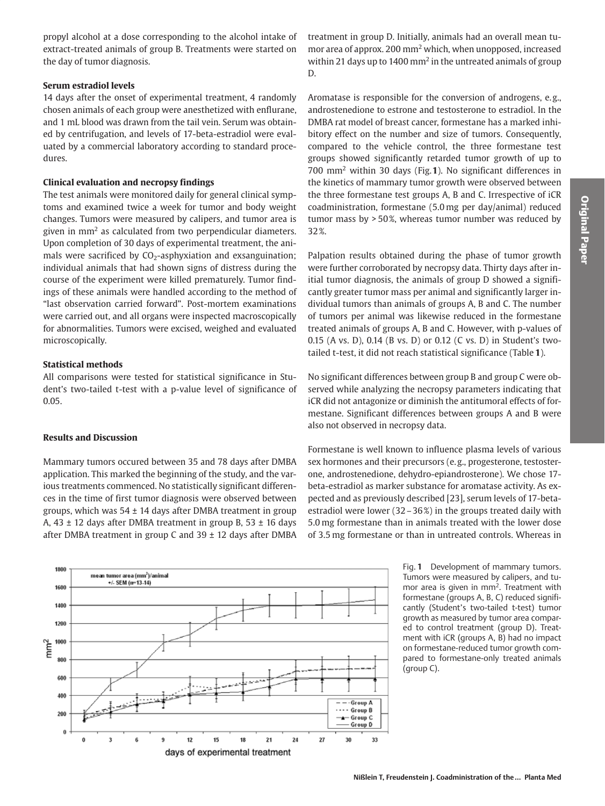propyl alcohol at a dose corresponding to the alcohol intake of extract-treated animals of group B. Treatments were started on the day of tumor diagnosis.

## **Serum estradiol levels**

14 days after the onset of experimental treatment, 4 randomly chosen animals of each group were anesthetized with enflurane, and 1 mL blood was drawn from the tail vein. Serum was obtained by centrifugation, and levels of 17-beta-estradiol were evaluated by a commercial laboratory according to standard procedures.

# **Clinical evaluation and necropsy findings**

The test animals were monitored daily for general clinical symptoms and examined twice a week for tumor and body weight changes. Tumors were measured by calipers, and tumor area is given in mm<sup>2</sup> as calculated from two perpendicular diameters. Upon completion of 30 days of experimental treatment, the animals were sacrificed by  $CO<sub>2</sub>$ -asphyxiation and exsanguination; individual animals that had shown signs of distress during the course of the experiment were killed prematurely. Tumor findings of these animals were handled according to the method of "last observation carried forward". Post-mortem examinations were carried out, and all organs were inspected macroscopically for abnormalities. Tumors were excised, weighed and evaluated microscopically.

# **Statistical methods**

All comparisons were tested for statistical significance in Student's two-tailed t-test with a p-value level of significance of  $0.05.$ 

# **Results and Discussion**

Mammary tumors occured between 35 and 78 days after DMBA application. This marked the beginning of the study, and the various treatments commenced. No statistically significant differences in the time of first tumor diagnosis were observed between groups, which was  $54 \pm 14$  days after DMBA treatment in group A,  $43 \pm 12$  days after DMBA treatment in group B,  $53 \pm 16$  days after DMBA treatment in group C and  $39 \pm 12$  days after DMBA



treatment in group D. Initially, animals had an overall mean tumor area of approx. 200 mm<sup>2</sup> which, when unopposed, increased within 21 days up to 1400 mm<sup>2</sup> in the untreated animals of group  $D.$ 

Aromatase is responsible for the conversion of androgens, e.g., androstenedione to estrone and testosterone to estradiol. In the DMBA rat model of breast cancer, formestane has a marked inhibitory effect on the number and size of tumors. Consequently, compared to the vehicle control, the three formestane test groups showed significantly retarded tumor growth of up to 700 mm<sup>2</sup> within 30 days (Fig.1). No significant differences in the kinetics of mammary tumor growth were observed between the three formestane test groups A, B and C. Irrespective of iCR coadministration, formestane (5.0 mg per day/animal) reduced tumor mass by  $>50\%$ , whereas tumor number was reduced by 32%.

Palpation results obtained during the phase of tumor growth were further corroborated by necropsy data. Thirty days after initial tumor diagnosis, the animals of group D showed a significantly greater tumor mass per animal and significantly larger individual tumors than animals of groups A, B and C. The number of tumors per animal was likewise reduced in the formestane treated animals of groups A, B and C. However, with p-values of 0.15 (A vs. D), 0.14 (B vs. D) or 0.12 (C vs. D) in Student's twotailed t-test, it did not reach statistical significance (Table 1).

No significant differences between group B and group C were observed while analyzing the necropsy parameters indicating that iCR did not antagonize or diminish the antitumoral effects of formestane. Significant differences between groups A and B were also not observed in necropsy data.

Formestane is well known to influence plasma levels of various sex hormones and their precursors (e.g., progesterone, testosterone, androstenedione, dehydro-epiandrosterone). We chose 17beta-estradiol as marker substance for aromatase activity. As expected and as previously described [23], serum levels of 17-betaestradiol were lower  $(32 - 36\%)$  in the groups treated daily with 5.0 mg formestane than in animals treated with the lower dose of 3.5 mg formestane or than in untreated controls. Whereas in

> Fig. 1 Development of mammary tumors. Tumors were measured by calipers, and tumor area is given in mm<sup>2</sup>. Treatment with formestane (groups A, B, C) reduced significantly (Student's two-tailed t-test) tumor growth as measured by tumor area compared to control treatment (group D). Treatment with iCR (groups A, B) had no impact on formestane-reduced tumor growth compared to formestane-only treated animals ( $group C$ ).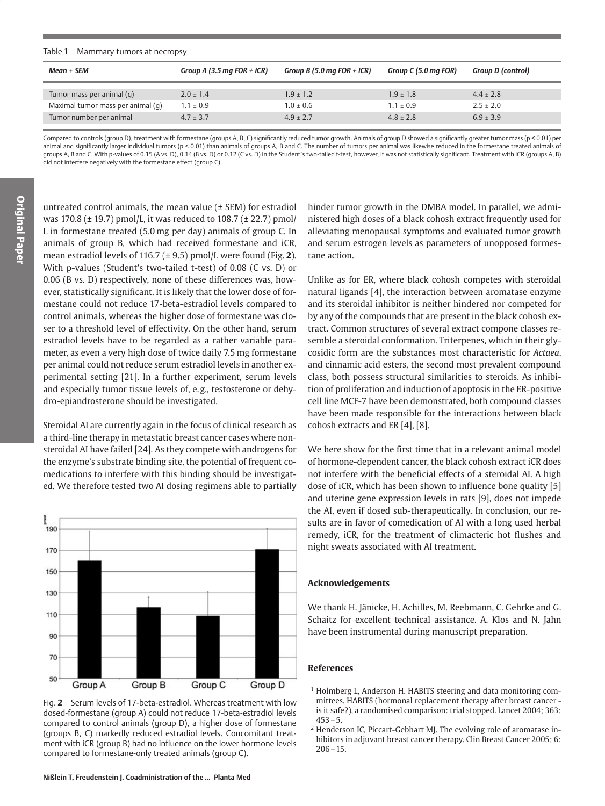#### Table 1 Mammary tumors at necropsy

| $Mean + SEM$                      | Group A (3.5 mg FOR + iCR) | Group B (5.0 mg FOR + iCR) | Group C (5.0 mg FOR) | <b>Group D (control)</b> |
|-----------------------------------|----------------------------|----------------------------|----------------------|--------------------------|
| Tumor mass per animal (q)         | $2.0 + 1.4$                | $1.9 + 1.2$                | $1.9 + 1.8$          | $4.4 + 2.8$              |
| Maximal tumor mass per animal (q) | $1.1 \pm 0.9$              | $1.0 + 0.6$                | $1.1 + 0.9$          | $2.5 + 2.0$              |
| Tumor number per animal           | $4.7 + 3.7$                | $4.9 + 2.7$                | $4.8 + 2.8$          | $6.9 + 3.9$              |

Compared to controls (group D), treatment with formestane (groups A, B, C) significantly reduced tumor growth. Animals of group D showed a significantly greater tumor mass (p < 0.01) per animal and significantly larger individual tumors (p < 0.01) than animals of groups A, B and C. The number of tumors per animal was likewise reduced in the formestane treated animals of groups A, B and C. With p-values of 0.15 (A vs. D), 0.14 (B vs. D) or 0.12 (C vs. D) in the Student's two-tailed t-test, however, it was not statistically significant. Treatment with iCR (groups A, B) did not interfere negatively with the formestane effect (group C).

untreated control animals, the mean value  $(\pm$  SEM) for estradiol was 170.8 ( $\pm$  19.7) pmol/L, it was reduced to 108.7 ( $\pm$  22.7) pmol/ L in formestane treated (5.0 mg per day) animals of group C. In animals of group B, which had received formestane and iCR, mean estradiol levels of 116.7 ( $\pm$  9.5) pmol/L were found (Fig. 2). With p-values (Student's two-tailed t-test) of 0.08 (C vs. D) or 0.06 (B vs. D) respectively, none of these differences was, however, statistically significant. It is likely that the lower dose of formestane could not reduce 17-beta-estradiol levels compared to control animals, whereas the higher dose of formestane was closer to a threshold level of effectivity. On the other hand, serum estradiol levels have to be regarded as a rather variable parameter, as even a very high dose of twice daily 7.5 mg formestane per animal could not reduce serum estradiol levels in another experimental setting [21]. In a further experiment, serum levels and especially tumor tissue levels of, e.g., testosterone or dehydro-epiandrosterone should be investigated.

Steroidal AI are currently again in the focus of clinical research as a third-line therapy in metastatic breast cancer cases where nonsteroidal AI have failed [24]. As they compete with androgens for the enzyme's substrate binding site, the potential of frequent comedications to interfere with this binding should be investigated. We therefore tested two AI dosing regimens able to partially



Fig. 2 Serum levels of 17-beta-estradiol. Whereas treatment with low dosed-formestane (group A) could not reduce 17-beta-estradiol levels compared to control animals (group D), a higher dose of formestane (groups B, C) markedly reduced estradiol levels. Concomitant treatment with iCR (group B) had no influence on the lower hormone levels compared to formestane-only treated animals (group C).

hinder tumor growth in the DMBA model. In parallel, we administered high doses of a black cohosh extract frequently used for alleviating menopausal symptoms and evaluated tumor growth and serum estrogen levels as parameters of unopposed formestane action.

Unlike as for ER, where black cohosh competes with steroidal natural ligands [4], the interaction between aromatase enzyme and its steroidal inhibitor is neither hindered nor competed for by any of the compounds that are present in the black cohosh extract. Common structures of several extract compone classes resemble a steroidal conformation. Triterpenes, which in their glycosidic form are the substances most characteristic for Actaea, and cinnamic acid esters, the second most prevalent compound class, both possess structural similarities to steroids. As inhibition of proliferation and induction of apoptosis in the ER-positive cell line MCF-7 have been demonstrated, both compound classes have been made responsible for the interactions between black cohosh extracts and ER [4], [8].

We here show for the first time that in a relevant animal model of hormone-dependent cancer, the black cohosh extract iCR does not interfere with the beneficial effects of a steroidal AI. A high dose of iCR, which has been shown to influence bone quality [5] and uterine gene expression levels in rats [9], does not impede the AI, even if dosed sub-therapeutically. In conclusion, our results are in favor of comedication of AI with a long used herbal remedy, iCR, for the treatment of climacteric hot flushes and night sweats associated with AI treatment.

#### **Acknowledgements**

We thank H. Jänicke, H. Achilles, M. Reebmann, C. Gehrke and G. Schaitz for excellent technical assistance. A. Klos and N. Jahn have been instrumental during manuscript preparation.

#### **References**

- <sup>1</sup> Holmberg L, Anderson H. HABITS steering and data monitoring committees. HABITS (hormonal replacement therapy after breast cancer is it safe?), a randomised comparison: trial stopped. Lancet 2004; 363:  $453 - 5.$
- <sup>2</sup> Henderson IC, Piccart-Gebhart MJ. The evolving role of aromatase inhibitors in adjuvant breast cancer therapy. Clin Breast Cancer 2005; 6:  $206 - 15$ .